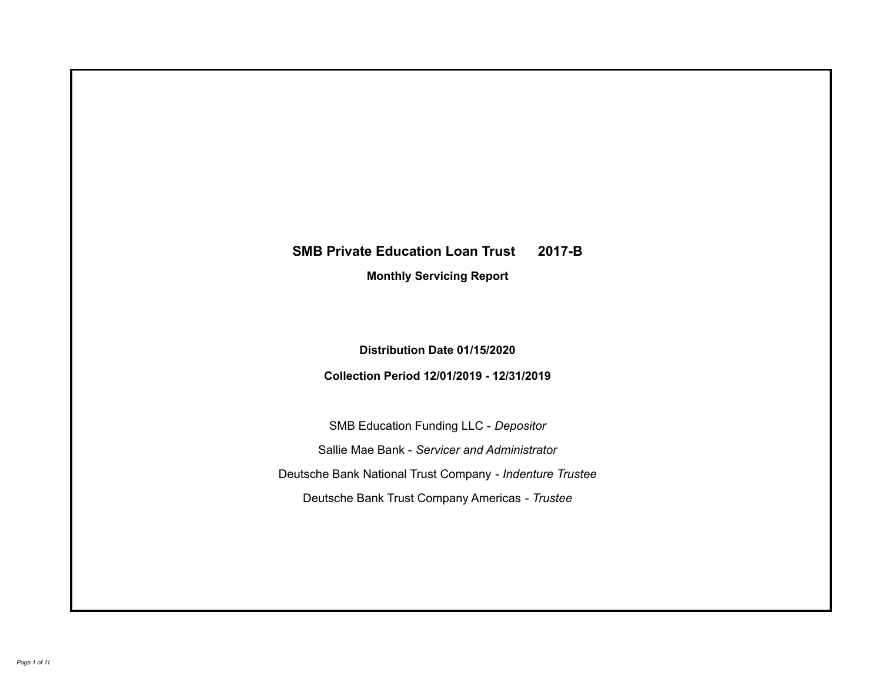# **SMB Private Education Loan Trust 2017-B Monthly Servicing Report**

**Distribution Date 01/15/2020**

**Collection Period 12/01/2019 - 12/31/2019**

SMB Education Funding LLC - *Depositor* Sallie Mae Bank - *Servicer and Administrator* Deutsche Bank National Trust Company - *Indenture Trustee* Deutsche Bank Trust Company Americas - *Trustee*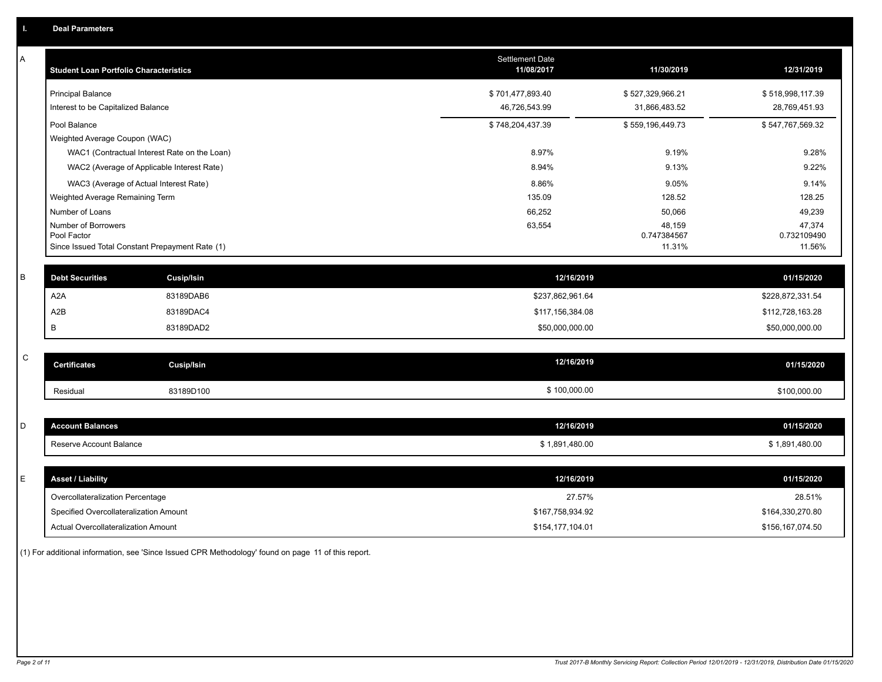| А           | <b>Student Loan Portfolio Characteristics</b>                  |                                              | <b>Settlement Date</b><br>11/08/2017 | 11/30/2019            | 12/31/2019            |
|-------------|----------------------------------------------------------------|----------------------------------------------|--------------------------------------|-----------------------|-----------------------|
|             | <b>Principal Balance</b>                                       |                                              | \$701,477,893.40                     | \$527,329,966.21      | \$518,998,117.39      |
|             | Interest to be Capitalized Balance                             |                                              | 46,726,543.99                        | 31,866,483.52         | 28,769,451.93         |
|             | Pool Balance                                                   |                                              | \$748,204,437.39                     | \$559,196,449.73      | \$547,767,569.32      |
|             | Weighted Average Coupon (WAC)                                  |                                              |                                      |                       |                       |
|             |                                                                | WAC1 (Contractual Interest Rate on the Loan) | 8.97%                                | 9.19%                 | 9.28%                 |
|             |                                                                | WAC2 (Average of Applicable Interest Rate)   | 8.94%                                | 9.13%                 | 9.22%                 |
|             | WAC3 (Average of Actual Interest Rate)                         |                                              | 8.86%                                | 9.05%                 | 9.14%                 |
|             | Weighted Average Remaining Term                                |                                              | 135.09                               | 128.52                | 128.25                |
|             | Number of Loans                                                |                                              | 66,252                               | 50,066                | 49,239                |
|             | Number of Borrowers                                            |                                              | 63,554                               | 48,159                | 47,374                |
|             | Pool Factor<br>Since Issued Total Constant Prepayment Rate (1) |                                              |                                      | 0.747384567<br>11.31% | 0.732109490<br>11.56% |
|             |                                                                |                                              |                                      |                       |                       |
| B           | <b>Debt Securities</b>                                         | <b>Cusip/Isin</b>                            | 12/16/2019                           |                       | 01/15/2020            |
|             | A <sub>2</sub> A                                               | 83189DAB6                                    | \$237,862,961.64                     |                       | \$228,872,331.54      |
|             | A <sub>2</sub> B                                               | 83189DAC4                                    | \$117,156,384.08                     |                       | \$112,728,163.28      |
|             | B                                                              | 83189DAD2                                    | \$50,000,000.00                      |                       | \$50,000,000.00       |
|             |                                                                |                                              |                                      |                       |                       |
| $\mathsf C$ | <b>Certificates</b>                                            | <b>Cusip/Isin</b>                            | 12/16/2019                           |                       | 01/15/2020            |
|             | Residual                                                       | 83189D100                                    | \$100,000.00                         |                       | \$100,000.00          |
|             |                                                                |                                              |                                      |                       |                       |
| D           | <b>Account Balances</b>                                        |                                              | 12/16/2019                           |                       | 01/15/2020            |
|             | Reserve Account Balance                                        |                                              | \$1,891,480.00                       |                       | \$1,891,480.00        |
|             |                                                                |                                              |                                      |                       |                       |
| Е           | <b>Asset / Liability</b>                                       |                                              | 12/16/2019                           |                       | 01/15/2020            |
|             | Overcollateralization Percentage                               |                                              | 27.57%                               |                       | 28.51%                |
|             | Specified Overcollateralization Amount                         |                                              | \$167,758,934.92                     |                       | \$164,330,270.80      |
|             | Actual Overcollateralization Amount                            |                                              | \$154,177,104.01                     |                       | \$156,167,074.50      |

(1) For additional information, see 'Since Issued CPR Methodology' found on page 11 of this report.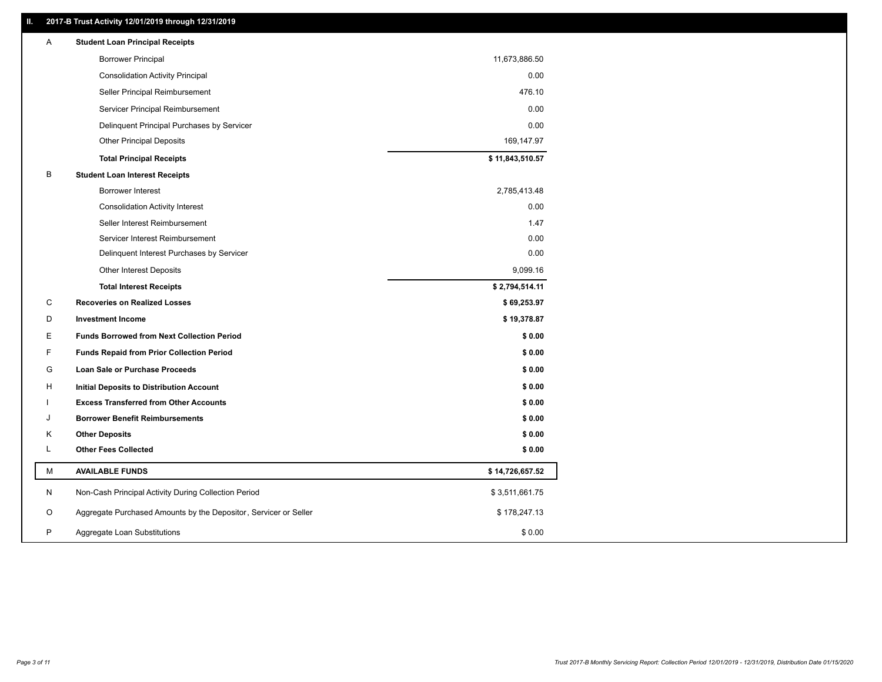# **II. 2017-B Trust Activity 12/01/2019 through 12/31/2019**

| A  | <b>Student Loan Principal Receipts</b>                           |                 |  |
|----|------------------------------------------------------------------|-----------------|--|
|    | <b>Borrower Principal</b>                                        | 11,673,886.50   |  |
|    | <b>Consolidation Activity Principal</b>                          | 0.00            |  |
|    | Seller Principal Reimbursement                                   | 476.10          |  |
|    | Servicer Principal Reimbursement                                 | 0.00            |  |
|    | Delinquent Principal Purchases by Servicer                       | 0.00            |  |
|    | <b>Other Principal Deposits</b>                                  | 169,147.97      |  |
|    | <b>Total Principal Receipts</b>                                  | \$11,843,510.57 |  |
| B  | <b>Student Loan Interest Receipts</b>                            |                 |  |
|    | <b>Borrower Interest</b>                                         | 2,785,413.48    |  |
|    | <b>Consolidation Activity Interest</b>                           | 0.00            |  |
|    | Seller Interest Reimbursement                                    | 1.47            |  |
|    | Servicer Interest Reimbursement                                  | 0.00            |  |
|    | Delinquent Interest Purchases by Servicer                        | 0.00            |  |
|    | <b>Other Interest Deposits</b>                                   | 9,099.16        |  |
|    | <b>Total Interest Receipts</b>                                   | \$2,794,514.11  |  |
| C  | <b>Recoveries on Realized Losses</b>                             | \$69,253.97     |  |
| D  | <b>Investment Income</b>                                         | \$19,378.87     |  |
| Е  | <b>Funds Borrowed from Next Collection Period</b>                | \$0.00          |  |
| F  | <b>Funds Repaid from Prior Collection Period</b>                 | \$0.00          |  |
| G  | <b>Loan Sale or Purchase Proceeds</b>                            | \$0.00          |  |
| H  | Initial Deposits to Distribution Account                         | \$0.00          |  |
|    | <b>Excess Transferred from Other Accounts</b>                    | \$0.00          |  |
| J  | <b>Borrower Benefit Reimbursements</b>                           | \$0.00          |  |
| Κ  | <b>Other Deposits</b>                                            | \$0.00          |  |
| L. | <b>Other Fees Collected</b>                                      | \$0.00          |  |
| М  | <b>AVAILABLE FUNDS</b>                                           | \$14,726,657.52 |  |
| N  | Non-Cash Principal Activity During Collection Period             | \$3,511,661.75  |  |
| O  | Aggregate Purchased Amounts by the Depositor, Servicer or Seller | \$178,247.13    |  |
| P  | Aggregate Loan Substitutions                                     | \$0.00          |  |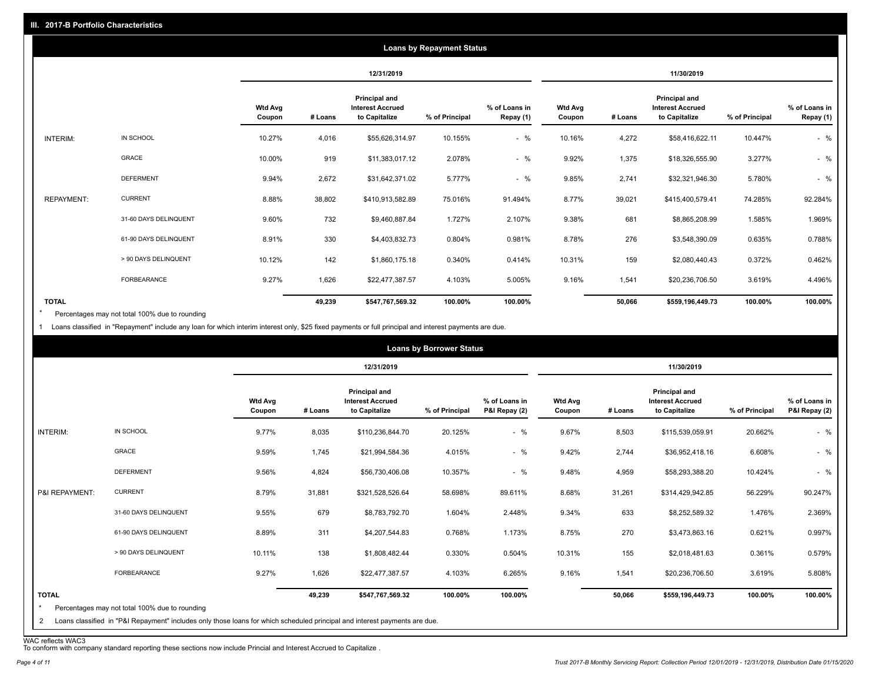|                   |                       |                          |            |                                                           | <b>Loans by Repayment Status</b> |                            |                          |         |                                                           |                |                            |
|-------------------|-----------------------|--------------------------|------------|-----------------------------------------------------------|----------------------------------|----------------------------|--------------------------|---------|-----------------------------------------------------------|----------------|----------------------------|
|                   |                       |                          | 12/31/2019 |                                                           |                                  | 11/30/2019                 |                          |         |                                                           |                |                            |
|                   |                       | <b>Wtd Avg</b><br>Coupon | # Loans    | Principal and<br><b>Interest Accrued</b><br>to Capitalize | % of Principal                   | % of Loans in<br>Repay (1) | <b>Wtd Avg</b><br>Coupon | # Loans | Principal and<br><b>Interest Accrued</b><br>to Capitalize | % of Principal | % of Loans in<br>Repay (1) |
| INTERIM:          | IN SCHOOL             | 10.27%                   | 4,016      | \$55,626,314.97                                           | 10.155%                          | $-$ %                      | 10.16%                   | 4,272   | \$58,416,622.11                                           | 10.447%        | $-$ %                      |
|                   | GRACE                 | 10.00%                   | 919        | \$11,383,017.12                                           | 2.078%                           | $-$ %                      | 9.92%                    | 1,375   | \$18,326,555.90                                           | 3.277%         | $-$ %                      |
|                   | <b>DEFERMENT</b>      | 9.94%                    | 2,672      | \$31,642,371.02                                           | 5.777%                           | $-$ %                      | 9.85%                    | 2,741   | \$32,321,946.30                                           | 5.780%         | $-$ %                      |
| <b>REPAYMENT:</b> | <b>CURRENT</b>        | 8.88%                    | 38,802     | \$410,913,582.89                                          | 75.016%                          | 91.494%                    | 8.77%                    | 39,021  | \$415,400,579.41                                          | 74.285%        | 92.284%                    |
|                   | 31-60 DAYS DELINQUENT | 9.60%                    | 732        | \$9,460,887.84                                            | 1.727%                           | 2.107%                     | 9.38%                    | 681     | \$8,865,208.99                                            | 1.585%         | 1.969%                     |
|                   | 61-90 DAYS DELINQUENT | 8.91%                    | 330        | \$4,403,832.73                                            | 0.804%                           | 0.981%                     | 8.78%                    | 276     | \$3,548,390.09                                            | 0.635%         | 0.788%                     |
|                   | > 90 DAYS DELINQUENT  | 10.12%                   | 142        | \$1,860,175.18                                            | 0.340%                           | 0.414%                     | 10.31%                   | 159     | \$2,080,440.43                                            | 0.372%         | 0.462%                     |
|                   | FORBEARANCE           | 9.27%                    | 1,626      | \$22,477,387.57                                           | 4.103%                           | 5.005%                     | 9.16%                    | 1,541   | \$20,236,706.50                                           | 3.619%         | 4.496%                     |
| <b>TOTAL</b>      |                       |                          | 49,239     | \$547,767,569.32                                          | 100.00%                          | 100.00%                    |                          | 50,066  | \$559,196,449.73                                          | 100.00%        | 100.00%                    |

Percentages may not total 100% due to rounding \*

1 Loans classified in "Repayment" include any loan for which interim interest only, \$25 fixed payments or full principal and interest payments are due.

|                              |                                                                                                                                                                              |                          |            |                                                           | <b>Loans by Borrower Status</b> |                                |                          |         |                                                                  |                |                                |
|------------------------------|------------------------------------------------------------------------------------------------------------------------------------------------------------------------------|--------------------------|------------|-----------------------------------------------------------|---------------------------------|--------------------------------|--------------------------|---------|------------------------------------------------------------------|----------------|--------------------------------|
|                              |                                                                                                                                                                              |                          | 12/31/2019 |                                                           |                                 | 11/30/2019                     |                          |         |                                                                  |                |                                |
|                              |                                                                                                                                                                              | <b>Wtd Avg</b><br>Coupon | # Loans    | Principal and<br><b>Interest Accrued</b><br>to Capitalize | % of Principal                  | % of Loans in<br>P&I Repay (2) | <b>Wtd Avg</b><br>Coupon | # Loans | <b>Principal and</b><br><b>Interest Accrued</b><br>to Capitalize | % of Principal | % of Loans in<br>P&I Repay (2) |
| INTERIM:                     | IN SCHOOL                                                                                                                                                                    | 9.77%                    | 8,035      | \$110,236,844.70                                          | 20.125%                         | $-$ %                          | 9.67%                    | 8,503   | \$115,539,059.91                                                 | 20.662%        | $-$ %                          |
|                              | GRACE                                                                                                                                                                        | 9.59%                    | 1,745      | \$21,994,584.36                                           | 4.015%                          | $-$ %                          | 9.42%                    | 2,744   | \$36,952,418.16                                                  | 6.608%         | $-$ %                          |
|                              | <b>DEFERMENT</b>                                                                                                                                                             | 9.56%                    | 4,824      | \$56,730,406.08                                           | 10.357%                         | $-$ %                          | 9.48%                    | 4,959   | \$58,293,388.20                                                  | 10.424%        | $-$ %                          |
| P&I REPAYMENT:               | <b>CURRENT</b>                                                                                                                                                               | 8.79%                    | 31,881     | \$321,528,526.64                                          | 58.698%                         | 89.611%                        | 8.68%                    | 31,261  | \$314,429,942.85                                                 | 56.229%        | 90.247%                        |
|                              | 31-60 DAYS DELINQUENT                                                                                                                                                        | 9.55%                    | 679        | \$8,783,792.70                                            | 1.604%                          | 2.448%                         | 9.34%                    | 633     | \$8,252,589.32                                                   | 1.476%         | 2.369%                         |
|                              | 61-90 DAYS DELINQUENT                                                                                                                                                        | 8.89%                    | 311        | \$4,207,544.83                                            | 0.768%                          | 1.173%                         | 8.75%                    | 270     | \$3,473,863.16                                                   | 0.621%         | 0.997%                         |
|                              | > 90 DAYS DELINQUENT                                                                                                                                                         | 10.11%                   | 138        | \$1,808,482.44                                            | 0.330%                          | 0.504%                         | 10.31%                   | 155     | \$2,018,481.63                                                   | 0.361%         | 0.579%                         |
|                              | <b>FORBEARANCE</b>                                                                                                                                                           | 9.27%                    | 1,626      | \$22,477,387.57                                           | 4.103%                          | 6.265%                         | 9.16%                    | 1,541   | \$20,236,706.50                                                  | 3.619%         | 5.808%                         |
| <b>TOTAL</b><br>$\star$<br>2 | Percentages may not total 100% due to rounding<br>Loans classified in "P&I Repayment" includes only those loans for which scheduled principal and interest payments are due. |                          | 49,239     | \$547,767,569.32                                          | 100.00%                         | 100.00%                        |                          | 50,066  | \$559,196,449.73                                                 | 100.00%        | 100.00%                        |

WAC reflects WAC3 To conform with company standard reporting these sections now include Princial and Interest Accrued to Capitalize .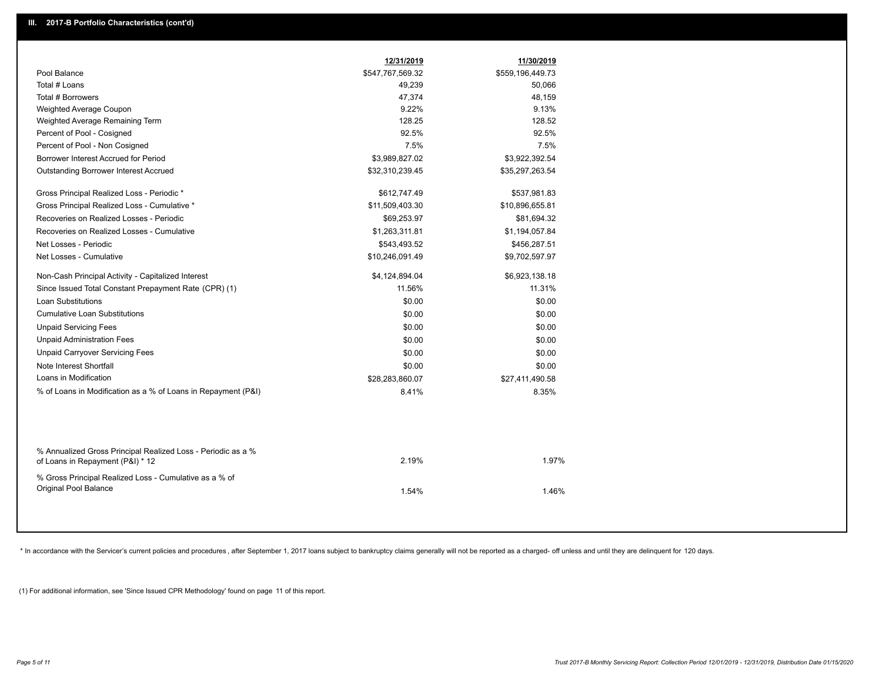|                                                                                                  | 12/31/2019       | 11/30/2019       |
|--------------------------------------------------------------------------------------------------|------------------|------------------|
| Pool Balance                                                                                     | \$547,767,569.32 | \$559,196,449.73 |
| Total # Loans                                                                                    | 49,239           | 50,066           |
| Total # Borrowers                                                                                | 47,374           | 48,159           |
| Weighted Average Coupon                                                                          | 9.22%            | 9.13%            |
| Weighted Average Remaining Term                                                                  | 128.25           | 128.52           |
| Percent of Pool - Cosigned                                                                       | 92.5%            | 92.5%            |
| Percent of Pool - Non Cosigned                                                                   | 7.5%             | 7.5%             |
| Borrower Interest Accrued for Period                                                             | \$3,989,827.02   | \$3,922,392.54   |
| Outstanding Borrower Interest Accrued                                                            | \$32,310,239.45  | \$35,297,263.54  |
| Gross Principal Realized Loss - Periodic *                                                       | \$612,747.49     | \$537,981.83     |
| Gross Principal Realized Loss - Cumulative *                                                     | \$11,509,403.30  | \$10,896,655.81  |
| Recoveries on Realized Losses - Periodic                                                         | \$69,253.97      | \$81,694.32      |
| Recoveries on Realized Losses - Cumulative                                                       | \$1,263,311.81   | \$1,194,057.84   |
| Net Losses - Periodic                                                                            | \$543,493.52     | \$456,287.51     |
| Net Losses - Cumulative                                                                          | \$10,246,091.49  | \$9,702,597.97   |
| Non-Cash Principal Activity - Capitalized Interest                                               | \$4,124,894.04   | \$6,923,138.18   |
| Since Issued Total Constant Prepayment Rate (CPR) (1)                                            | 11.56%           | 11.31%           |
| <b>Loan Substitutions</b>                                                                        | \$0.00           | \$0.00           |
| <b>Cumulative Loan Substitutions</b>                                                             | \$0.00           | \$0.00           |
| <b>Unpaid Servicing Fees</b>                                                                     | \$0.00           | \$0.00           |
| <b>Unpaid Administration Fees</b>                                                                | \$0.00           | \$0.00           |
| <b>Unpaid Carryover Servicing Fees</b>                                                           | \$0.00           | \$0.00           |
| Note Interest Shortfall                                                                          | \$0.00           | \$0.00           |
| Loans in Modification                                                                            | \$28,283,860.07  | \$27,411,490.58  |
| % of Loans in Modification as a % of Loans in Repayment (P&I)                                    | 8.41%            | 8.35%            |
|                                                                                                  |                  |                  |
| % Annualized Gross Principal Realized Loss - Periodic as a %<br>of Loans in Repayment (P&I) * 12 | 2.19%            | 1.97%            |
| % Gross Principal Realized Loss - Cumulative as a % of<br>Original Pool Balance                  | 1.54%            | 1.46%            |
|                                                                                                  |                  |                  |

\* In accordance with the Servicer's current policies and procedures, after September 1, 2017 loans subject to bankruptcy claims generally will not be reported as a charged- off unless and until they are delinquent for 120

(1) For additional information, see 'Since Issued CPR Methodology' found on page 11 of this report.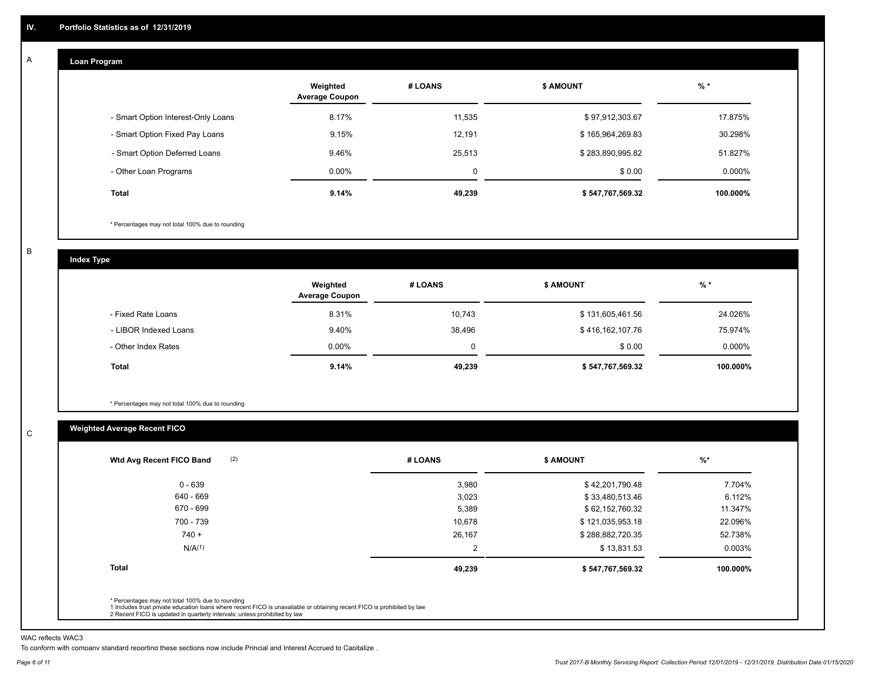#### **Loan Program**  A

|                                    | Weighted<br><b>Average Coupon</b> | # LOANS     | <b>\$ AMOUNT</b> | $%$ *     |
|------------------------------------|-----------------------------------|-------------|------------------|-----------|
| - Smart Option Interest-Only Loans | 8.17%                             | 11.535      | \$97,912,303.67  | 17.875%   |
| - Smart Option Fixed Pay Loans     | 9.15%                             | 12,191      | \$165,964,269.83 | 30.298%   |
| - Smart Option Deferred Loans      | 9.46%                             | 25,513      | \$283,890,995.82 | 51.827%   |
| - Other Loan Programs              | $0.00\%$                          | $\mathbf 0$ | \$0.00           | $0.000\%$ |
| <b>Total</b>                       | 9.14%                             | 49,239      | \$547,767,569.32 | 100.000%  |

\* Percentages may not total 100% due to rounding

B

C

**Index Type**

|                       | Weighted<br><b>Average Coupon</b> | # LOANS     | <b>\$ AMOUNT</b> | $%$ *     |
|-----------------------|-----------------------------------|-------------|------------------|-----------|
| - Fixed Rate Loans    | 8.31%                             | 10,743      | \$131,605,461.56 | 24.026%   |
| - LIBOR Indexed Loans | 9.40%                             | 38,496      | \$416,162,107.76 | 75.974%   |
| - Other Index Rates   | $0.00\%$                          | $\mathbf 0$ | \$0.00           | $0.000\%$ |
| <b>Total</b>          | 9.14%                             | 49,239      | \$547,767,569.32 | 100.000%  |

\* Percentages may not total 100% due to rounding

# **Weighted Average Recent FICO**

| (2)<br>Wtd Avg Recent FICO Band                  | # LOANS        | <b>\$ AMOUNT</b> | $%$ *    |
|--------------------------------------------------|----------------|------------------|----------|
| $0 - 639$                                        | 3,980          | \$42,201,790.48  | 7.704%   |
| 640 - 669                                        | 3,023          | \$33,480,513.46  | 6.112%   |
| 670 - 699                                        | 5,389          | \$62,152,760.32  | 11.347%  |
| 700 - 739                                        | 10,678         | \$121,035,953.18 | 22.096%  |
| $740 +$                                          | 26,167         | \$288,882,720.35 | 52.738%  |
| N/A <sup>(1)</sup>                               | $\overline{2}$ | \$13,831.53      | 0.003%   |
| <b>Total</b>                                     | 49,239         | \$547,767,569.32 | 100.000% |
|                                                  |                |                  |          |
| * Percentages may not total 100% due to rounding |                |                  |          |

WAC reflects WAC3

To conform with company standard reporting these sections now include Princial and Interest Accrued to Capitalize .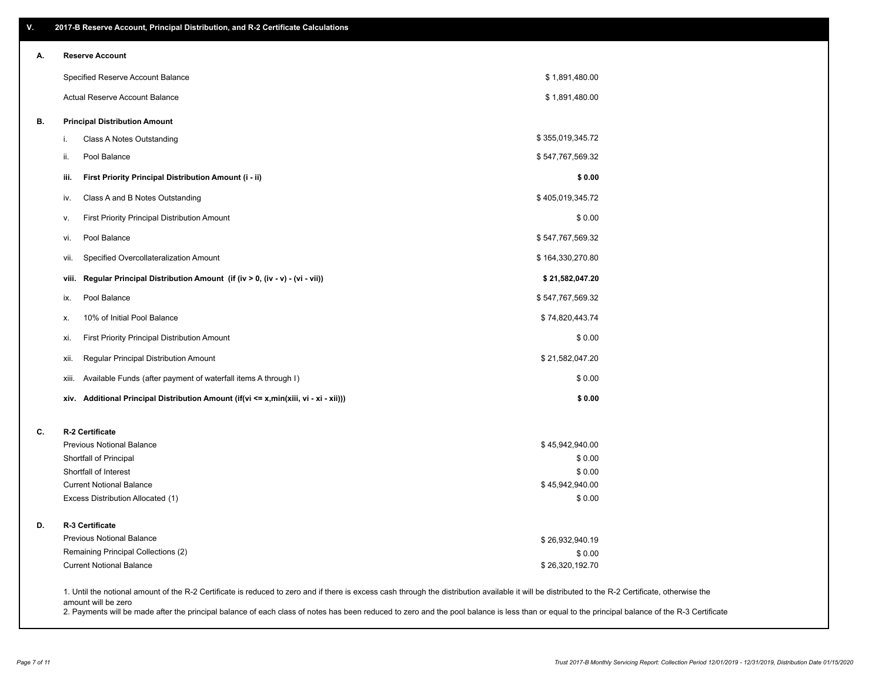| ۷. | 2017-B Reserve Account, Principal Distribution, and R-2 Certificate Calculations                                                                                                                                          |                  |  |
|----|---------------------------------------------------------------------------------------------------------------------------------------------------------------------------------------------------------------------------|------------------|--|
| А. | <b>Reserve Account</b>                                                                                                                                                                                                    |                  |  |
|    | Specified Reserve Account Balance                                                                                                                                                                                         | \$1,891,480.00   |  |
|    | Actual Reserve Account Balance                                                                                                                                                                                            | \$1,891,480.00   |  |
| В. | <b>Principal Distribution Amount</b>                                                                                                                                                                                      |                  |  |
|    | Class A Notes Outstanding<br>i.                                                                                                                                                                                           | \$355,019,345.72 |  |
|    | Pool Balance<br>ii.                                                                                                                                                                                                       | \$547,767,569.32 |  |
|    | First Priority Principal Distribution Amount (i - ii)<br>iii.                                                                                                                                                             | \$0.00           |  |
|    | Class A and B Notes Outstanding<br>iv.                                                                                                                                                                                    | \$405,019,345.72 |  |
|    | First Priority Principal Distribution Amount<br>v.                                                                                                                                                                        | \$0.00           |  |
|    | Pool Balance<br>vi.                                                                                                                                                                                                       | \$547,767,569.32 |  |
|    | Specified Overcollateralization Amount<br>vii.                                                                                                                                                                            | \$164,330,270.80 |  |
|    | Regular Principal Distribution Amount (if (iv > 0, (iv - v) - (vi - vii))<br>viii.                                                                                                                                        | \$21,582,047.20  |  |
|    | Pool Balance<br>ix.                                                                                                                                                                                                       | \$547,767,569.32 |  |
|    | 10% of Initial Pool Balance<br>х.                                                                                                                                                                                         | \$74,820,443.74  |  |
|    | First Priority Principal Distribution Amount<br>xi.                                                                                                                                                                       | \$0.00           |  |
|    | Regular Principal Distribution Amount<br>xii.                                                                                                                                                                             | \$21,582,047.20  |  |
|    | Available Funds (after payment of waterfall items A through I)<br>xiii.                                                                                                                                                   | \$0.00           |  |
|    | xiv. Additional Principal Distribution Amount (if(vi <= x,min(xiii, vi - xi - xii)))                                                                                                                                      | \$0.00           |  |
| C. | R-2 Certificate                                                                                                                                                                                                           |                  |  |
|    | <b>Previous Notional Balance</b>                                                                                                                                                                                          | \$45,942,940.00  |  |
|    | Shortfall of Principal                                                                                                                                                                                                    | \$0.00           |  |
|    | Shortfall of Interest                                                                                                                                                                                                     | \$0.00           |  |
|    | <b>Current Notional Balance</b>                                                                                                                                                                                           | \$45,942,940.00  |  |
|    | Excess Distribution Allocated (1)                                                                                                                                                                                         | \$0.00           |  |
| D. | R-3 Certificate                                                                                                                                                                                                           |                  |  |
|    | <b>Previous Notional Balance</b>                                                                                                                                                                                          | \$26,932,940.19  |  |
|    | Remaining Principal Collections (2)                                                                                                                                                                                       | \$0.00           |  |
|    | <b>Current Notional Balance</b>                                                                                                                                                                                           | \$26,320,192.70  |  |
|    | 1. Until the notional amount of the R-2 Certificate is reduced to zero and if there is excess cash through the distribution available it will be distributed to the R-2 Certificate, otherwise the<br>amount will be zero |                  |  |

2. Payments will be made after the principal balance of each class of notes has been reduced to zero and the pool balance is less than or equal to the principal balance of the R-3 Certificate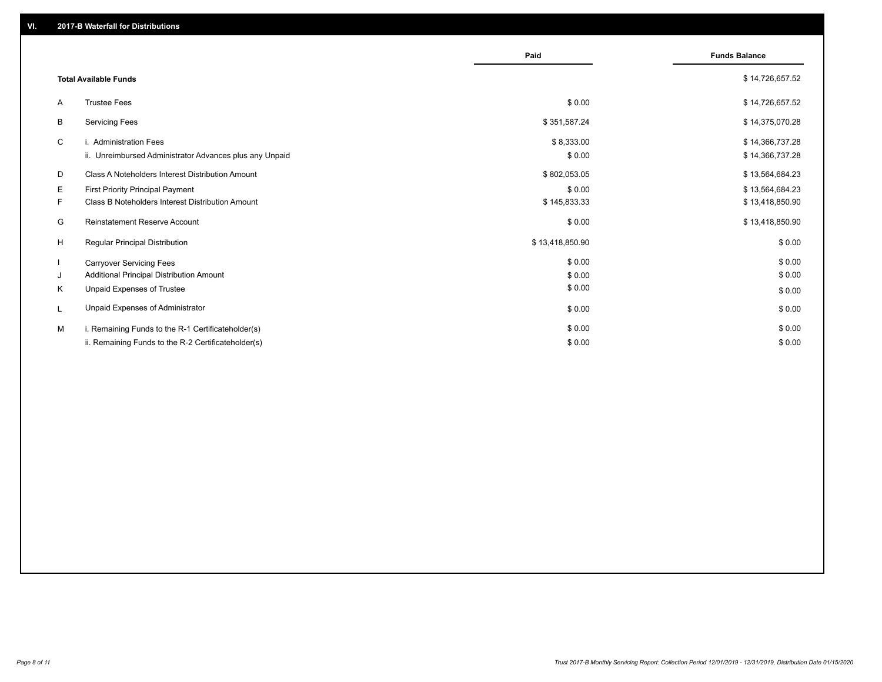|    |                                                         | Paid            | <b>Funds Balance</b> |
|----|---------------------------------------------------------|-----------------|----------------------|
|    | <b>Total Available Funds</b>                            |                 | \$14,726,657.52      |
| A  | <b>Trustee Fees</b>                                     | \$0.00          | \$14,726,657.52      |
| В  | <b>Servicing Fees</b>                                   | \$351,587.24    | \$14,375,070.28      |
| C  | i. Administration Fees                                  | \$8,333.00      | \$14,366,737.28      |
|    | ii. Unreimbursed Administrator Advances plus any Unpaid | \$0.00          | \$14,366,737.28      |
| D  | Class A Noteholders Interest Distribution Amount        | \$802,053.05    | \$13,564,684.23      |
| Е  | <b>First Priority Principal Payment</b>                 | \$0.00          | \$13,564,684.23      |
| F. | Class B Noteholders Interest Distribution Amount        | \$145,833.33    | \$13,418,850.90      |
| G  | <b>Reinstatement Reserve Account</b>                    | \$0.00          | \$13,418,850.90      |
| H  | Regular Principal Distribution                          | \$13,418,850.90 | \$0.00               |
|    | <b>Carryover Servicing Fees</b>                         | \$0.00          | \$0.00               |
| J  | Additional Principal Distribution Amount                | \$0.00          | \$0.00               |
| Κ  | Unpaid Expenses of Trustee                              | \$0.00          | \$0.00               |
| L  | Unpaid Expenses of Administrator                        | \$0.00          | \$0.00               |
| м  | i. Remaining Funds to the R-1 Certificateholder(s)      | \$0.00          | \$0.00               |
|    | ii. Remaining Funds to the R-2 Certificateholder(s)     | \$0.00          | \$0.00               |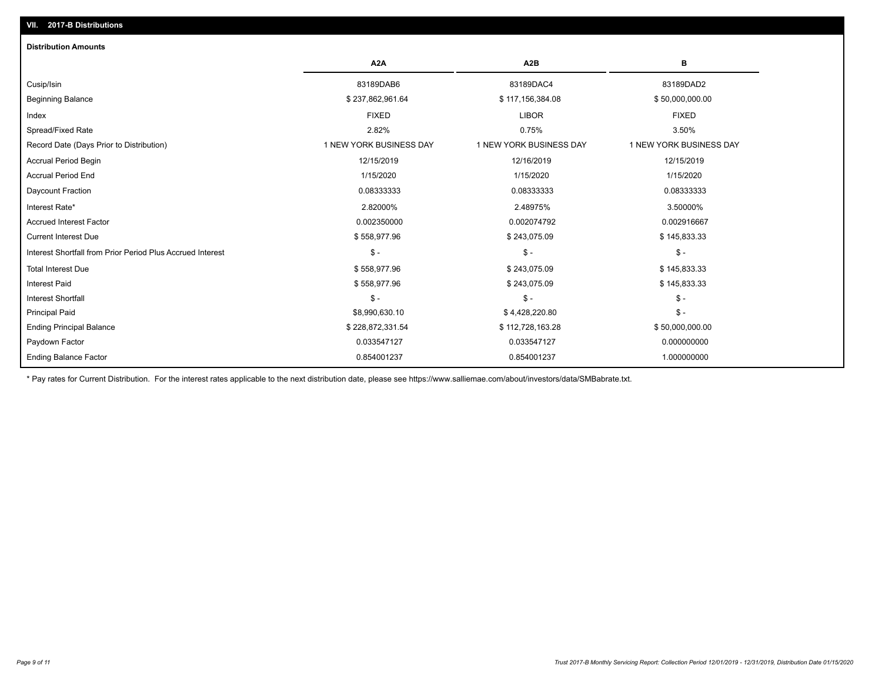| <b>Distribution Amounts</b>                                |                         |                         |                         |
|------------------------------------------------------------|-------------------------|-------------------------|-------------------------|
|                                                            | A <sub>2</sub> A        | A <sub>2</sub> B        | в                       |
| Cusip/Isin                                                 | 83189DAB6               | 83189DAC4               | 83189DAD2               |
| <b>Beginning Balance</b>                                   | \$237,862,961.64        | \$117,156,384.08        | \$50,000,000.00         |
| Index                                                      | <b>FIXED</b>            | <b>LIBOR</b>            | <b>FIXED</b>            |
| Spread/Fixed Rate                                          | 2.82%                   | 0.75%                   | 3.50%                   |
| Record Date (Days Prior to Distribution)                   | 1 NEW YORK BUSINESS DAY | 1 NEW YORK BUSINESS DAY | 1 NEW YORK BUSINESS DAY |
| <b>Accrual Period Begin</b>                                | 12/15/2019              | 12/16/2019              | 12/15/2019              |
| <b>Accrual Period End</b>                                  | 1/15/2020               | 1/15/2020               | 1/15/2020               |
| Daycount Fraction                                          | 0.08333333              | 0.08333333              | 0.08333333              |
| Interest Rate*                                             | 2.82000%                | 2.48975%                | 3.50000%                |
| <b>Accrued Interest Factor</b>                             | 0.002350000             | 0.002074792             | 0.002916667             |
| <b>Current Interest Due</b>                                | \$558,977.96            | \$243,075.09            | \$145,833.33            |
| Interest Shortfall from Prior Period Plus Accrued Interest | $\mathsf{\$}$ -         | $\mathsf{\$}$ -         | $\mathcal{S}$ -         |
| <b>Total Interest Due</b>                                  | \$558,977.96            | \$243,075.09            | \$145,833.33            |
| <b>Interest Paid</b>                                       | \$558,977.96            | \$243,075.09            | \$145,833.33            |
| <b>Interest Shortfall</b>                                  | $\frac{2}{3}$ -         | $\mathsf{\$}$ -         | $\mathcal{S}$ -         |
| <b>Principal Paid</b>                                      | \$8,990,630.10          | \$4,428,220.80          | $\mathsf{\$}$ -         |
| <b>Ending Principal Balance</b>                            | \$228,872,331.54        | \$112,728,163.28        | \$50,000,000.00         |
| Paydown Factor                                             | 0.033547127             | 0.033547127             | 0.000000000             |
| <b>Ending Balance Factor</b>                               | 0.854001237             | 0.854001237             | 1.000000000             |

\* Pay rates for Current Distribution. For the interest rates applicable to the next distribution date, please see https://www.salliemae.com/about/investors/data/SMBabrate.txt.

**VII. 2017-B Distributions**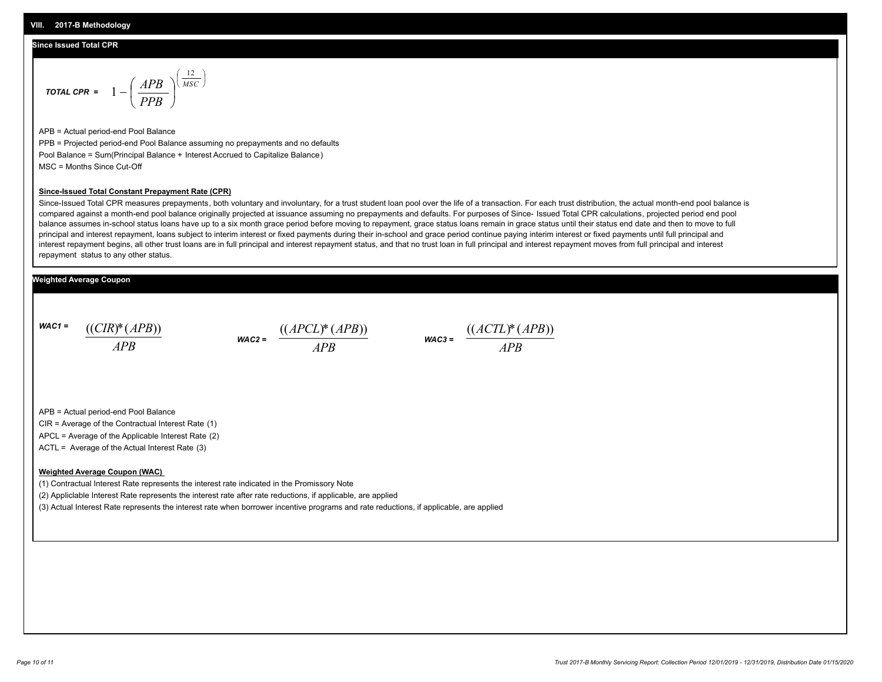#### **Since Issued Total CPR**

$$
\text{total CPR} = 1 - \left(\frac{APB}{PPB}\right)^{\left(\frac{12}{MSC}\right)}
$$

APB = Actual period-end Pool Balance PPB = Projected period-end Pool Balance assuming no prepayments and no defaults Pool Balance = Sum(Principal Balance + Interest Accrued to Capitalize Balance) MSC = Months Since Cut-Off

#### **Since-Issued Total Constant Prepayment Rate (CPR)**

Since-Issued Total CPR measures prepayments, both voluntary and involuntary, for a trust student loan pool over the life of a transaction. For each trust distribution, the actual month-end pool balance is compared against a month-end pool balance originally projected at issuance assuming no prepayments and defaults. For purposes of Since- Issued Total CPR calculations, projected period end pool balance assumes in-school status loans have up to a six month grace period before moving to repayment, grace status loans remain in grace status until their status end date and then to move to full principal and interest repayment, loans subject to interim interest or fixed payments during their in-school and grace period continue paying interim interest or fixed payments until full principal and interest repayment begins, all other trust loans are in full principal and interest repayment status, and that no trust loan in full principal and interest repayment moves from full principal and interest repayment status to any other status.

### **Weighted Average Coupon**

*WAC1 = APB* ((*CIR*)\*(*APB*))





APB = Actual period-end Pool Balance

CIR = Average of the Contractual Interest Rate (1)

APCL = Average of the Applicable Interest Rate (2)

ACTL = Average of the Actual Interest Rate (3)

#### **Weighted Average Coupon (WAC)**

(1) Contractual Interest Rate represents the interest rate indicated in the Promissory Note

(2) Appliclable Interest Rate represents the interest rate after rate reductions, if applicable, are applied

(3) Actual Interest Rate represents the interest rate when borrower incentive programs and rate reductions, if applicable, are applied